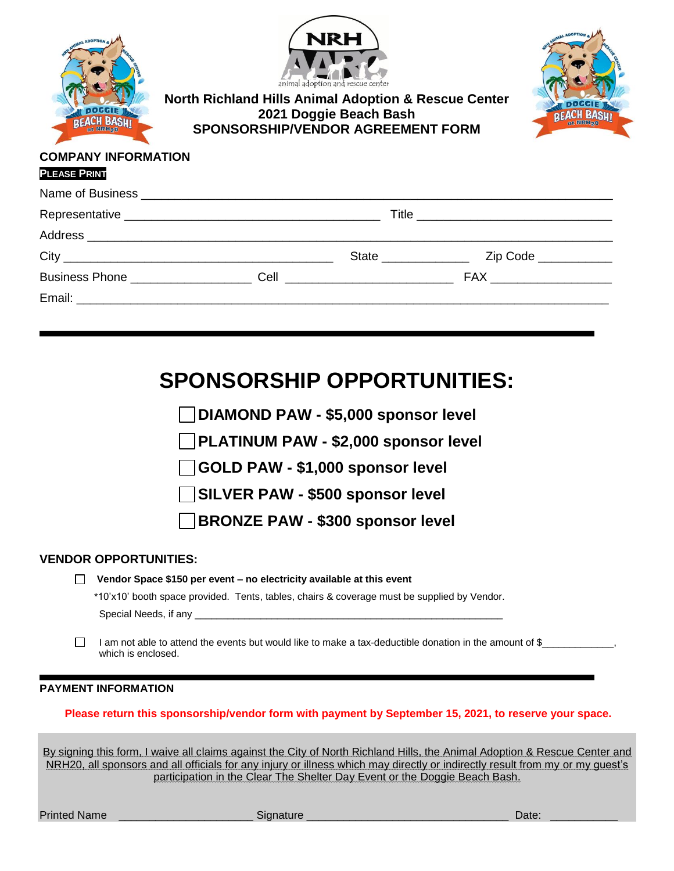| <b>BEACH BASH!</b>              | <b>NRH</b><br>animal adoption and rescue center<br><b>North Richland Hills Animal Adoption &amp; Rescue Center</b><br>2021 Doggie Beach Bash<br>BEACH BASH <u>i</u><br>SPONSORSHIP/VENDOR AGREEMENT FORM |  |  |  |  |  |
|---------------------------------|----------------------------------------------------------------------------------------------------------------------------------------------------------------------------------------------------------|--|--|--|--|--|
| <b>COMPANY INFORMATION</b>      |                                                                                                                                                                                                          |  |  |  |  |  |
| <b>PLEASE PRINT</b>             |                                                                                                                                                                                                          |  |  |  |  |  |
|                                 |                                                                                                                                                                                                          |  |  |  |  |  |
|                                 |                                                                                                                                                                                                          |  |  |  |  |  |
|                                 |                                                                                                                                                                                                          |  |  |  |  |  |
|                                 |                                                                                                                                                                                                          |  |  |  |  |  |
|                                 | Business Phone <b>Cell</b> Cell <b>Communication Cell FAX FAX</b>                                                                                                                                        |  |  |  |  |  |
| Email: ________________________ |                                                                                                                                                                                                          |  |  |  |  |  |

# **SPONSORSHIP OPPORTUNITIES:**

**DIAMOND PAW - \$5,000 sponsor level**

**PLATINUM PAW - \$2,000 sponsor level**

**GOLD PAW - \$1,000 sponsor level**

**SILVER PAW - \$500 sponsor level**

**BRONZE PAW - \$300 sponsor level**

### **VENDOR OPPORTUNITIES:**

|  |  |  |  | $\Box$ Vendor Space \$150 per event – no electricity available at this event |
|--|--|--|--|------------------------------------------------------------------------------|
|--|--|--|--|------------------------------------------------------------------------------|

\*10'x10' booth space provided. Tents, tables, chairs & coverage must be supplied by Vendor. Special Needs, if any  $\equiv$ 

П I am not able to attend the events but would like to make a tax-deductible donation in the amount of \$ which is enclosed.

#### **PAYMENT INFORMATION**

#### **Please return this sponsorship/vendor form with payment by September 15, 2021, to reserve your space.**

By signing this form, I waive all claims against the City of North Richland Hills, the Animal Adoption & Rescue Center and NRH20, all sponsors and all officials for any injury or illness which may directly or indirectly result from my or my guest's participation in the Clear The Shelter Day Event or the Doggie Beach Bash.